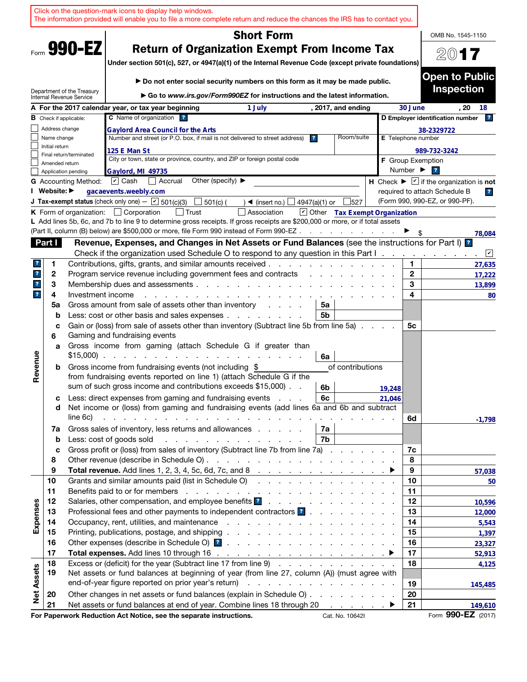| <b>Short Form</b><br>OMB No. 1545-1150<br>Form 990-EZ<br><b>Return of Organization Exempt From Income Tax</b><br>2017<br>Under section 501(c), 527, or 4947(a)(1) of the Internal Revenue Code (except private foundations)<br>Do not enter social security numbers on this form as it may be made public.<br><b>Inspection</b><br>Department of the Treasury<br>► Go to www.irs.gov/Form990EZ for instructions and the latest information.<br>Internal Revenue Service<br>A For the 2017 calendar year, or tax year beginning<br>30 June<br>, 2017, and ending<br>. 20<br>18<br>1 July<br>C Name of organization ?<br>D Employer identification number<br>$\mathbf{r}$<br><b>B</b> Check if applicable:<br>Address change<br>38-2329722<br><b>Gaylord Area Council for the Arts</b><br>Number and street (or P.O. box, if mail is not delivered to street address)<br>Room/suite<br>Name change<br>$\overline{\mathbf{r}}$<br>E Telephone number<br>Initial return<br>125 E Man St<br>989-732-3242<br>Final return/terminated<br>City or town, state or province, country, and ZIP or foreign postal code<br><b>F</b> Group Exemption<br>Amended return<br>Number $\blacktriangleright$<br>$\overline{z}$<br>Gaylord, MI 49735<br>Application pending<br>Other (specify) $\blacktriangleright$<br>$ \mathbf{v} $ Cash<br>  Accrual<br>H Check $\blacktriangleright \boxed{\mathbf{v}}$ if the organization is not<br><b>G</b> Accounting Method:<br>I Website: ▶<br>gacaevents.weebly.com<br>required to attach Schedule B<br>$\overline{r}$<br>(Form 990, 990-EZ, or 990-PF).<br><b>J Tax-exempt status</b> (check only one) - $\boxed{\mathbf{v}}$ 501(c)(3)<br>501(c) (<br>$\blacktriangleleft$ (insert no.) $\lfloor$<br>4947(a)(1) or<br>527<br>Other Tax Exempt Organization<br><b>K</b> Form of organization: $\Box$ Corporation<br>│ Trust<br>Association<br>L Add lines 5b, 6c, and 7b to line 9 to determine gross receipts. If gross receipts are \$200,000 or more, or if total assets<br>(Part II, column (B) below) are \$500,000 or more, file Form 990 instead of Form 990-EZ<br>Revenue, Expenses, and Changes in Net Assets or Fund Balances (see the instructions for Part I) <sup>2</sup><br>Part I<br>Check if the organization used Schedule O to respond to any question in this Part I.<br>Contributions, gifts, grants, and similar amounts received.<br>1.<br>1<br>?<br>$\mathbf{2}$<br>$\mathbf{r}$<br>2<br>Program service revenue including government fees and contracts<br>3<br>3<br>$\mathbf{r}$<br>Membership dues and assessments.<br>the contract of the contract of the contract of the contract of the contract of the contract of the contract of<br>$\overline{\mathbf{r}}$<br>4<br>4<br>Investment income<br>Gross amount from sale of assets other than inventory<br>5a<br>5a<br>and a state of<br>Less: cost or other basis and sales expenses<br>5b<br>b<br>Gain or (loss) from sale of assets other than inventory (Subtract line 5b from line 5a)<br>5с<br>c<br>Gaming and fundraising events<br>6<br>Gross income from gaming (attach Schedule G if greater than<br>a<br>Revenue<br>$$15,000$<br>6a<br>Gross income from fundraising events (not including \$<br>of contributions<br>b<br>from fundraising events reported on line 1) (attach Schedule G if the<br>sum of such gross income and contributions exceeds \$15,000).<br>6b<br>19,248<br>Less: direct expenses from gaming and fundraising events<br>6с<br>21,046<br>с<br>Net income or (loss) from gaming and fundraising events (add lines 6a and 6b and subtract<br>d<br>line 6c)<br>and the contract of the contract of the contract of the contract of the contract of the contract of the contract of the contract of the contract of the contract of the contract of the contract of the contract of the contra<br>6d<br>$-1,798$<br>Gross sales of inventory, less returns and allowances<br>7a  <br>7a<br>Less: cost of goods sold<br>7b<br>$\mathbf b$<br>Gross profit or (loss) from sales of inventory (Subtract line 7b from line 7a)<br>7c<br>c<br>8<br>8<br>Total revenue. Add lines 1, 2, 3, 4, 5c, 6d, 7c, and 8 $\ldots$ $\ldots$ $\ldots$ $\ldots$ $\ldots$ $\ldots$<br>9<br>9<br>57,038<br>Grants and similar amounts paid (list in Schedule O)<br>10<br>10<br>11<br>11<br>12<br>12<br>Expenses<br>13<br>Professional fees and other payments to independent contractors <sup>2</sup><br>13<br>14<br>14<br>15<br>15<br>16<br>16<br>17<br>17<br>Excess or (deficit) for the year (Subtract line 17 from line 9)<br>18<br>18<br><b>Net Assets</b><br>19<br>Net assets or fund balances at beginning of year (from line 27, column (A)) (must agree with<br>19<br>145,485 |    |  | Click on the question-mark icons to display help windows.<br>The information provided will enable you to file a more complete return and reduce the chances the IRS has to contact you. |  |    |                               |
|------------------------------------------------------------------------------------------------------------------------------------------------------------------------------------------------------------------------------------------------------------------------------------------------------------------------------------------------------------------------------------------------------------------------------------------------------------------------------------------------------------------------------------------------------------------------------------------------------------------------------------------------------------------------------------------------------------------------------------------------------------------------------------------------------------------------------------------------------------------------------------------------------------------------------------------------------------------------------------------------------------------------------------------------------------------------------------------------------------------------------------------------------------------------------------------------------------------------------------------------------------------------------------------------------------------------------------------------------------------------------------------------------------------------------------------------------------------------------------------------------------------------------------------------------------------------------------------------------------------------------------------------------------------------------------------------------------------------------------------------------------------------------------------------------------------------------------------------------------------------------------------------------------------------------------------------------------------------------------------------------------------------------------------------------------------------------------------------------------------------------------------------------------------------------------------------------------------------------------------------------------------------------------------------------------------------------------------------------------------------------------------------------------------------------------------------------------------------------------------------------------------------------------------------------------------------------------------------------------------------------------------------------------------------------------------------------------------------------------------------------------------------------------------------------------------------------------------------------------------------------------------------------------------------------------------------------------------------------------------------------------------------------------------------------------------------------------------------------------------------------------------------------------------------------------------------------------------------------------------------------------------------------------------------------------------------------------------------------------------------------------------------------------------------------------------------------------------------------------------------------------------------------------------------------------------------------------------------------------------------------------------------------------------------------------------------------------------------------------------------------------------------------------------------------------------------------------------------------------------------------------------------------------------------------------------------------------------------------------------------------------------------------------------------------------------------------------------------------------------------------------------------------------------------------------------------------------------------------------------------------------------------------------------------------------------------------------------------------------------------------------------------------------------------------------------------------------------------------------------------------------------------------------------------------------------------------------------------------------------------------------------------------------------------------------------------------|----|--|-----------------------------------------------------------------------------------------------------------------------------------------------------------------------------------------|--|----|-------------------------------|
|                                                                                                                                                                                                                                                                                                                                                                                                                                                                                                                                                                                                                                                                                                                                                                                                                                                                                                                                                                                                                                                                                                                                                                                                                                                                                                                                                                                                                                                                                                                                                                                                                                                                                                                                                                                                                                                                                                                                                                                                                                                                                                                                                                                                                                                                                                                                                                                                                                                                                                                                                                                                                                                                                                                                                                                                                                                                                                                                                                                                                                                                                                                                                                                                                                                                                                                                                                                                                                                                                                                                                                                                                                                                                                                                                                                                                                                                                                                                                                                                                                                                                                                                                                                                                                                                                                                                                                                                                                                                                                                                                                                                                                                                                                      |    |  |                                                                                                                                                                                         |  |    |                               |
|                                                                                                                                                                                                                                                                                                                                                                                                                                                                                                                                                                                                                                                                                                                                                                                                                                                                                                                                                                                                                                                                                                                                                                                                                                                                                                                                                                                                                                                                                                                                                                                                                                                                                                                                                                                                                                                                                                                                                                                                                                                                                                                                                                                                                                                                                                                                                                                                                                                                                                                                                                                                                                                                                                                                                                                                                                                                                                                                                                                                                                                                                                                                                                                                                                                                                                                                                                                                                                                                                                                                                                                                                                                                                                                                                                                                                                                                                                                                                                                                                                                                                                                                                                                                                                                                                                                                                                                                                                                                                                                                                                                                                                                                                                      |    |  |                                                                                                                                                                                         |  |    |                               |
|                                                                                                                                                                                                                                                                                                                                                                                                                                                                                                                                                                                                                                                                                                                                                                                                                                                                                                                                                                                                                                                                                                                                                                                                                                                                                                                                                                                                                                                                                                                                                                                                                                                                                                                                                                                                                                                                                                                                                                                                                                                                                                                                                                                                                                                                                                                                                                                                                                                                                                                                                                                                                                                                                                                                                                                                                                                                                                                                                                                                                                                                                                                                                                                                                                                                                                                                                                                                                                                                                                                                                                                                                                                                                                                                                                                                                                                                                                                                                                                                                                                                                                                                                                                                                                                                                                                                                                                                                                                                                                                                                                                                                                                                                                      |    |  |                                                                                                                                                                                         |  |    | <b>Open to Public</b>         |
|                                                                                                                                                                                                                                                                                                                                                                                                                                                                                                                                                                                                                                                                                                                                                                                                                                                                                                                                                                                                                                                                                                                                                                                                                                                                                                                                                                                                                                                                                                                                                                                                                                                                                                                                                                                                                                                                                                                                                                                                                                                                                                                                                                                                                                                                                                                                                                                                                                                                                                                                                                                                                                                                                                                                                                                                                                                                                                                                                                                                                                                                                                                                                                                                                                                                                                                                                                                                                                                                                                                                                                                                                                                                                                                                                                                                                                                                                                                                                                                                                                                                                                                                                                                                                                                                                                                                                                                                                                                                                                                                                                                                                                                                                                      |    |  |                                                                                                                                                                                         |  |    |                               |
|                                                                                                                                                                                                                                                                                                                                                                                                                                                                                                                                                                                                                                                                                                                                                                                                                                                                                                                                                                                                                                                                                                                                                                                                                                                                                                                                                                                                                                                                                                                                                                                                                                                                                                                                                                                                                                                                                                                                                                                                                                                                                                                                                                                                                                                                                                                                                                                                                                                                                                                                                                                                                                                                                                                                                                                                                                                                                                                                                                                                                                                                                                                                                                                                                                                                                                                                                                                                                                                                                                                                                                                                                                                                                                                                                                                                                                                                                                                                                                                                                                                                                                                                                                                                                                                                                                                                                                                                                                                                                                                                                                                                                                                                                                      |    |  |                                                                                                                                                                                         |  |    |                               |
|                                                                                                                                                                                                                                                                                                                                                                                                                                                                                                                                                                                                                                                                                                                                                                                                                                                                                                                                                                                                                                                                                                                                                                                                                                                                                                                                                                                                                                                                                                                                                                                                                                                                                                                                                                                                                                                                                                                                                                                                                                                                                                                                                                                                                                                                                                                                                                                                                                                                                                                                                                                                                                                                                                                                                                                                                                                                                                                                                                                                                                                                                                                                                                                                                                                                                                                                                                                                                                                                                                                                                                                                                                                                                                                                                                                                                                                                                                                                                                                                                                                                                                                                                                                                                                                                                                                                                                                                                                                                                                                                                                                                                                                                                                      |    |  |                                                                                                                                                                                         |  |    |                               |
|                                                                                                                                                                                                                                                                                                                                                                                                                                                                                                                                                                                                                                                                                                                                                                                                                                                                                                                                                                                                                                                                                                                                                                                                                                                                                                                                                                                                                                                                                                                                                                                                                                                                                                                                                                                                                                                                                                                                                                                                                                                                                                                                                                                                                                                                                                                                                                                                                                                                                                                                                                                                                                                                                                                                                                                                                                                                                                                                                                                                                                                                                                                                                                                                                                                                                                                                                                                                                                                                                                                                                                                                                                                                                                                                                                                                                                                                                                                                                                                                                                                                                                                                                                                                                                                                                                                                                                                                                                                                                                                                                                                                                                                                                                      |    |  |                                                                                                                                                                                         |  |    |                               |
|                                                                                                                                                                                                                                                                                                                                                                                                                                                                                                                                                                                                                                                                                                                                                                                                                                                                                                                                                                                                                                                                                                                                                                                                                                                                                                                                                                                                                                                                                                                                                                                                                                                                                                                                                                                                                                                                                                                                                                                                                                                                                                                                                                                                                                                                                                                                                                                                                                                                                                                                                                                                                                                                                                                                                                                                                                                                                                                                                                                                                                                                                                                                                                                                                                                                                                                                                                                                                                                                                                                                                                                                                                                                                                                                                                                                                                                                                                                                                                                                                                                                                                                                                                                                                                                                                                                                                                                                                                                                                                                                                                                                                                                                                                      |    |  |                                                                                                                                                                                         |  |    |                               |
|                                                                                                                                                                                                                                                                                                                                                                                                                                                                                                                                                                                                                                                                                                                                                                                                                                                                                                                                                                                                                                                                                                                                                                                                                                                                                                                                                                                                                                                                                                                                                                                                                                                                                                                                                                                                                                                                                                                                                                                                                                                                                                                                                                                                                                                                                                                                                                                                                                                                                                                                                                                                                                                                                                                                                                                                                                                                                                                                                                                                                                                                                                                                                                                                                                                                                                                                                                                                                                                                                                                                                                                                                                                                                                                                                                                                                                                                                                                                                                                                                                                                                                                                                                                                                                                                                                                                                                                                                                                                                                                                                                                                                                                                                                      |    |  |                                                                                                                                                                                         |  |    |                               |
|                                                                                                                                                                                                                                                                                                                                                                                                                                                                                                                                                                                                                                                                                                                                                                                                                                                                                                                                                                                                                                                                                                                                                                                                                                                                                                                                                                                                                                                                                                                                                                                                                                                                                                                                                                                                                                                                                                                                                                                                                                                                                                                                                                                                                                                                                                                                                                                                                                                                                                                                                                                                                                                                                                                                                                                                                                                                                                                                                                                                                                                                                                                                                                                                                                                                                                                                                                                                                                                                                                                                                                                                                                                                                                                                                                                                                                                                                                                                                                                                                                                                                                                                                                                                                                                                                                                                                                                                                                                                                                                                                                                                                                                                                                      |    |  |                                                                                                                                                                                         |  |    |                               |
|                                                                                                                                                                                                                                                                                                                                                                                                                                                                                                                                                                                                                                                                                                                                                                                                                                                                                                                                                                                                                                                                                                                                                                                                                                                                                                                                                                                                                                                                                                                                                                                                                                                                                                                                                                                                                                                                                                                                                                                                                                                                                                                                                                                                                                                                                                                                                                                                                                                                                                                                                                                                                                                                                                                                                                                                                                                                                                                                                                                                                                                                                                                                                                                                                                                                                                                                                                                                                                                                                                                                                                                                                                                                                                                                                                                                                                                                                                                                                                                                                                                                                                                                                                                                                                                                                                                                                                                                                                                                                                                                                                                                                                                                                                      |    |  |                                                                                                                                                                                         |  |    |                               |
|                                                                                                                                                                                                                                                                                                                                                                                                                                                                                                                                                                                                                                                                                                                                                                                                                                                                                                                                                                                                                                                                                                                                                                                                                                                                                                                                                                                                                                                                                                                                                                                                                                                                                                                                                                                                                                                                                                                                                                                                                                                                                                                                                                                                                                                                                                                                                                                                                                                                                                                                                                                                                                                                                                                                                                                                                                                                                                                                                                                                                                                                                                                                                                                                                                                                                                                                                                                                                                                                                                                                                                                                                                                                                                                                                                                                                                                                                                                                                                                                                                                                                                                                                                                                                                                                                                                                                                                                                                                                                                                                                                                                                                                                                                      |    |  |                                                                                                                                                                                         |  |    |                               |
|                                                                                                                                                                                                                                                                                                                                                                                                                                                                                                                                                                                                                                                                                                                                                                                                                                                                                                                                                                                                                                                                                                                                                                                                                                                                                                                                                                                                                                                                                                                                                                                                                                                                                                                                                                                                                                                                                                                                                                                                                                                                                                                                                                                                                                                                                                                                                                                                                                                                                                                                                                                                                                                                                                                                                                                                                                                                                                                                                                                                                                                                                                                                                                                                                                                                                                                                                                                                                                                                                                                                                                                                                                                                                                                                                                                                                                                                                                                                                                                                                                                                                                                                                                                                                                                                                                                                                                                                                                                                                                                                                                                                                                                                                                      |    |  |                                                                                                                                                                                         |  |    |                               |
|                                                                                                                                                                                                                                                                                                                                                                                                                                                                                                                                                                                                                                                                                                                                                                                                                                                                                                                                                                                                                                                                                                                                                                                                                                                                                                                                                                                                                                                                                                                                                                                                                                                                                                                                                                                                                                                                                                                                                                                                                                                                                                                                                                                                                                                                                                                                                                                                                                                                                                                                                                                                                                                                                                                                                                                                                                                                                                                                                                                                                                                                                                                                                                                                                                                                                                                                                                                                                                                                                                                                                                                                                                                                                                                                                                                                                                                                                                                                                                                                                                                                                                                                                                                                                                                                                                                                                                                                                                                                                                                                                                                                                                                                                                      |    |  |                                                                                                                                                                                         |  |    |                               |
|                                                                                                                                                                                                                                                                                                                                                                                                                                                                                                                                                                                                                                                                                                                                                                                                                                                                                                                                                                                                                                                                                                                                                                                                                                                                                                                                                                                                                                                                                                                                                                                                                                                                                                                                                                                                                                                                                                                                                                                                                                                                                                                                                                                                                                                                                                                                                                                                                                                                                                                                                                                                                                                                                                                                                                                                                                                                                                                                                                                                                                                                                                                                                                                                                                                                                                                                                                                                                                                                                                                                                                                                                                                                                                                                                                                                                                                                                                                                                                                                                                                                                                                                                                                                                                                                                                                                                                                                                                                                                                                                                                                                                                                                                                      |    |  |                                                                                                                                                                                         |  |    |                               |
|                                                                                                                                                                                                                                                                                                                                                                                                                                                                                                                                                                                                                                                                                                                                                                                                                                                                                                                                                                                                                                                                                                                                                                                                                                                                                                                                                                                                                                                                                                                                                                                                                                                                                                                                                                                                                                                                                                                                                                                                                                                                                                                                                                                                                                                                                                                                                                                                                                                                                                                                                                                                                                                                                                                                                                                                                                                                                                                                                                                                                                                                                                                                                                                                                                                                                                                                                                                                                                                                                                                                                                                                                                                                                                                                                                                                                                                                                                                                                                                                                                                                                                                                                                                                                                                                                                                                                                                                                                                                                                                                                                                                                                                                                                      |    |  |                                                                                                                                                                                         |  |    | 78,084                        |
|                                                                                                                                                                                                                                                                                                                                                                                                                                                                                                                                                                                                                                                                                                                                                                                                                                                                                                                                                                                                                                                                                                                                                                                                                                                                                                                                                                                                                                                                                                                                                                                                                                                                                                                                                                                                                                                                                                                                                                                                                                                                                                                                                                                                                                                                                                                                                                                                                                                                                                                                                                                                                                                                                                                                                                                                                                                                                                                                                                                                                                                                                                                                                                                                                                                                                                                                                                                                                                                                                                                                                                                                                                                                                                                                                                                                                                                                                                                                                                                                                                                                                                                                                                                                                                                                                                                                                                                                                                                                                                                                                                                                                                                                                                      |    |  |                                                                                                                                                                                         |  |    |                               |
|                                                                                                                                                                                                                                                                                                                                                                                                                                                                                                                                                                                                                                                                                                                                                                                                                                                                                                                                                                                                                                                                                                                                                                                                                                                                                                                                                                                                                                                                                                                                                                                                                                                                                                                                                                                                                                                                                                                                                                                                                                                                                                                                                                                                                                                                                                                                                                                                                                                                                                                                                                                                                                                                                                                                                                                                                                                                                                                                                                                                                                                                                                                                                                                                                                                                                                                                                                                                                                                                                                                                                                                                                                                                                                                                                                                                                                                                                                                                                                                                                                                                                                                                                                                                                                                                                                                                                                                                                                                                                                                                                                                                                                                                                                      |    |  |                                                                                                                                                                                         |  |    | $\mathbf{v}$                  |
|                                                                                                                                                                                                                                                                                                                                                                                                                                                                                                                                                                                                                                                                                                                                                                                                                                                                                                                                                                                                                                                                                                                                                                                                                                                                                                                                                                                                                                                                                                                                                                                                                                                                                                                                                                                                                                                                                                                                                                                                                                                                                                                                                                                                                                                                                                                                                                                                                                                                                                                                                                                                                                                                                                                                                                                                                                                                                                                                                                                                                                                                                                                                                                                                                                                                                                                                                                                                                                                                                                                                                                                                                                                                                                                                                                                                                                                                                                                                                                                                                                                                                                                                                                                                                                                                                                                                                                                                                                                                                                                                                                                                                                                                                                      |    |  |                                                                                                                                                                                         |  |    | 27,635                        |
|                                                                                                                                                                                                                                                                                                                                                                                                                                                                                                                                                                                                                                                                                                                                                                                                                                                                                                                                                                                                                                                                                                                                                                                                                                                                                                                                                                                                                                                                                                                                                                                                                                                                                                                                                                                                                                                                                                                                                                                                                                                                                                                                                                                                                                                                                                                                                                                                                                                                                                                                                                                                                                                                                                                                                                                                                                                                                                                                                                                                                                                                                                                                                                                                                                                                                                                                                                                                                                                                                                                                                                                                                                                                                                                                                                                                                                                                                                                                                                                                                                                                                                                                                                                                                                                                                                                                                                                                                                                                                                                                                                                                                                                                                                      |    |  |                                                                                                                                                                                         |  |    | 17,222                        |
|                                                                                                                                                                                                                                                                                                                                                                                                                                                                                                                                                                                                                                                                                                                                                                                                                                                                                                                                                                                                                                                                                                                                                                                                                                                                                                                                                                                                                                                                                                                                                                                                                                                                                                                                                                                                                                                                                                                                                                                                                                                                                                                                                                                                                                                                                                                                                                                                                                                                                                                                                                                                                                                                                                                                                                                                                                                                                                                                                                                                                                                                                                                                                                                                                                                                                                                                                                                                                                                                                                                                                                                                                                                                                                                                                                                                                                                                                                                                                                                                                                                                                                                                                                                                                                                                                                                                                                                                                                                                                                                                                                                                                                                                                                      |    |  |                                                                                                                                                                                         |  |    | 13,899                        |
|                                                                                                                                                                                                                                                                                                                                                                                                                                                                                                                                                                                                                                                                                                                                                                                                                                                                                                                                                                                                                                                                                                                                                                                                                                                                                                                                                                                                                                                                                                                                                                                                                                                                                                                                                                                                                                                                                                                                                                                                                                                                                                                                                                                                                                                                                                                                                                                                                                                                                                                                                                                                                                                                                                                                                                                                                                                                                                                                                                                                                                                                                                                                                                                                                                                                                                                                                                                                                                                                                                                                                                                                                                                                                                                                                                                                                                                                                                                                                                                                                                                                                                                                                                                                                                                                                                                                                                                                                                                                                                                                                                                                                                                                                                      |    |  |                                                                                                                                                                                         |  |    | 80                            |
|                                                                                                                                                                                                                                                                                                                                                                                                                                                                                                                                                                                                                                                                                                                                                                                                                                                                                                                                                                                                                                                                                                                                                                                                                                                                                                                                                                                                                                                                                                                                                                                                                                                                                                                                                                                                                                                                                                                                                                                                                                                                                                                                                                                                                                                                                                                                                                                                                                                                                                                                                                                                                                                                                                                                                                                                                                                                                                                                                                                                                                                                                                                                                                                                                                                                                                                                                                                                                                                                                                                                                                                                                                                                                                                                                                                                                                                                                                                                                                                                                                                                                                                                                                                                                                                                                                                                                                                                                                                                                                                                                                                                                                                                                                      |    |  |                                                                                                                                                                                         |  |    |                               |
|                                                                                                                                                                                                                                                                                                                                                                                                                                                                                                                                                                                                                                                                                                                                                                                                                                                                                                                                                                                                                                                                                                                                                                                                                                                                                                                                                                                                                                                                                                                                                                                                                                                                                                                                                                                                                                                                                                                                                                                                                                                                                                                                                                                                                                                                                                                                                                                                                                                                                                                                                                                                                                                                                                                                                                                                                                                                                                                                                                                                                                                                                                                                                                                                                                                                                                                                                                                                                                                                                                                                                                                                                                                                                                                                                                                                                                                                                                                                                                                                                                                                                                                                                                                                                                                                                                                                                                                                                                                                                                                                                                                                                                                                                                      |    |  |                                                                                                                                                                                         |  |    |                               |
|                                                                                                                                                                                                                                                                                                                                                                                                                                                                                                                                                                                                                                                                                                                                                                                                                                                                                                                                                                                                                                                                                                                                                                                                                                                                                                                                                                                                                                                                                                                                                                                                                                                                                                                                                                                                                                                                                                                                                                                                                                                                                                                                                                                                                                                                                                                                                                                                                                                                                                                                                                                                                                                                                                                                                                                                                                                                                                                                                                                                                                                                                                                                                                                                                                                                                                                                                                                                                                                                                                                                                                                                                                                                                                                                                                                                                                                                                                                                                                                                                                                                                                                                                                                                                                                                                                                                                                                                                                                                                                                                                                                                                                                                                                      |    |  |                                                                                                                                                                                         |  |    |                               |
|                                                                                                                                                                                                                                                                                                                                                                                                                                                                                                                                                                                                                                                                                                                                                                                                                                                                                                                                                                                                                                                                                                                                                                                                                                                                                                                                                                                                                                                                                                                                                                                                                                                                                                                                                                                                                                                                                                                                                                                                                                                                                                                                                                                                                                                                                                                                                                                                                                                                                                                                                                                                                                                                                                                                                                                                                                                                                                                                                                                                                                                                                                                                                                                                                                                                                                                                                                                                                                                                                                                                                                                                                                                                                                                                                                                                                                                                                                                                                                                                                                                                                                                                                                                                                                                                                                                                                                                                                                                                                                                                                                                                                                                                                                      |    |  |                                                                                                                                                                                         |  |    |                               |
|                                                                                                                                                                                                                                                                                                                                                                                                                                                                                                                                                                                                                                                                                                                                                                                                                                                                                                                                                                                                                                                                                                                                                                                                                                                                                                                                                                                                                                                                                                                                                                                                                                                                                                                                                                                                                                                                                                                                                                                                                                                                                                                                                                                                                                                                                                                                                                                                                                                                                                                                                                                                                                                                                                                                                                                                                                                                                                                                                                                                                                                                                                                                                                                                                                                                                                                                                                                                                                                                                                                                                                                                                                                                                                                                                                                                                                                                                                                                                                                                                                                                                                                                                                                                                                                                                                                                                                                                                                                                                                                                                                                                                                                                                                      |    |  |                                                                                                                                                                                         |  |    |                               |
|                                                                                                                                                                                                                                                                                                                                                                                                                                                                                                                                                                                                                                                                                                                                                                                                                                                                                                                                                                                                                                                                                                                                                                                                                                                                                                                                                                                                                                                                                                                                                                                                                                                                                                                                                                                                                                                                                                                                                                                                                                                                                                                                                                                                                                                                                                                                                                                                                                                                                                                                                                                                                                                                                                                                                                                                                                                                                                                                                                                                                                                                                                                                                                                                                                                                                                                                                                                                                                                                                                                                                                                                                                                                                                                                                                                                                                                                                                                                                                                                                                                                                                                                                                                                                                                                                                                                                                                                                                                                                                                                                                                                                                                                                                      |    |  |                                                                                                                                                                                         |  |    |                               |
|                                                                                                                                                                                                                                                                                                                                                                                                                                                                                                                                                                                                                                                                                                                                                                                                                                                                                                                                                                                                                                                                                                                                                                                                                                                                                                                                                                                                                                                                                                                                                                                                                                                                                                                                                                                                                                                                                                                                                                                                                                                                                                                                                                                                                                                                                                                                                                                                                                                                                                                                                                                                                                                                                                                                                                                                                                                                                                                                                                                                                                                                                                                                                                                                                                                                                                                                                                                                                                                                                                                                                                                                                                                                                                                                                                                                                                                                                                                                                                                                                                                                                                                                                                                                                                                                                                                                                                                                                                                                                                                                                                                                                                                                                                      |    |  |                                                                                                                                                                                         |  |    |                               |
|                                                                                                                                                                                                                                                                                                                                                                                                                                                                                                                                                                                                                                                                                                                                                                                                                                                                                                                                                                                                                                                                                                                                                                                                                                                                                                                                                                                                                                                                                                                                                                                                                                                                                                                                                                                                                                                                                                                                                                                                                                                                                                                                                                                                                                                                                                                                                                                                                                                                                                                                                                                                                                                                                                                                                                                                                                                                                                                                                                                                                                                                                                                                                                                                                                                                                                                                                                                                                                                                                                                                                                                                                                                                                                                                                                                                                                                                                                                                                                                                                                                                                                                                                                                                                                                                                                                                                                                                                                                                                                                                                                                                                                                                                                      |    |  |                                                                                                                                                                                         |  |    |                               |
|                                                                                                                                                                                                                                                                                                                                                                                                                                                                                                                                                                                                                                                                                                                                                                                                                                                                                                                                                                                                                                                                                                                                                                                                                                                                                                                                                                                                                                                                                                                                                                                                                                                                                                                                                                                                                                                                                                                                                                                                                                                                                                                                                                                                                                                                                                                                                                                                                                                                                                                                                                                                                                                                                                                                                                                                                                                                                                                                                                                                                                                                                                                                                                                                                                                                                                                                                                                                                                                                                                                                                                                                                                                                                                                                                                                                                                                                                                                                                                                                                                                                                                                                                                                                                                                                                                                                                                                                                                                                                                                                                                                                                                                                                                      |    |  |                                                                                                                                                                                         |  |    |                               |
|                                                                                                                                                                                                                                                                                                                                                                                                                                                                                                                                                                                                                                                                                                                                                                                                                                                                                                                                                                                                                                                                                                                                                                                                                                                                                                                                                                                                                                                                                                                                                                                                                                                                                                                                                                                                                                                                                                                                                                                                                                                                                                                                                                                                                                                                                                                                                                                                                                                                                                                                                                                                                                                                                                                                                                                                                                                                                                                                                                                                                                                                                                                                                                                                                                                                                                                                                                                                                                                                                                                                                                                                                                                                                                                                                                                                                                                                                                                                                                                                                                                                                                                                                                                                                                                                                                                                                                                                                                                                                                                                                                                                                                                                                                      |    |  |                                                                                                                                                                                         |  |    |                               |
|                                                                                                                                                                                                                                                                                                                                                                                                                                                                                                                                                                                                                                                                                                                                                                                                                                                                                                                                                                                                                                                                                                                                                                                                                                                                                                                                                                                                                                                                                                                                                                                                                                                                                                                                                                                                                                                                                                                                                                                                                                                                                                                                                                                                                                                                                                                                                                                                                                                                                                                                                                                                                                                                                                                                                                                                                                                                                                                                                                                                                                                                                                                                                                                                                                                                                                                                                                                                                                                                                                                                                                                                                                                                                                                                                                                                                                                                                                                                                                                                                                                                                                                                                                                                                                                                                                                                                                                                                                                                                                                                                                                                                                                                                                      |    |  |                                                                                                                                                                                         |  |    |                               |
|                                                                                                                                                                                                                                                                                                                                                                                                                                                                                                                                                                                                                                                                                                                                                                                                                                                                                                                                                                                                                                                                                                                                                                                                                                                                                                                                                                                                                                                                                                                                                                                                                                                                                                                                                                                                                                                                                                                                                                                                                                                                                                                                                                                                                                                                                                                                                                                                                                                                                                                                                                                                                                                                                                                                                                                                                                                                                                                                                                                                                                                                                                                                                                                                                                                                                                                                                                                                                                                                                                                                                                                                                                                                                                                                                                                                                                                                                                                                                                                                                                                                                                                                                                                                                                                                                                                                                                                                                                                                                                                                                                                                                                                                                                      |    |  |                                                                                                                                                                                         |  |    |                               |
|                                                                                                                                                                                                                                                                                                                                                                                                                                                                                                                                                                                                                                                                                                                                                                                                                                                                                                                                                                                                                                                                                                                                                                                                                                                                                                                                                                                                                                                                                                                                                                                                                                                                                                                                                                                                                                                                                                                                                                                                                                                                                                                                                                                                                                                                                                                                                                                                                                                                                                                                                                                                                                                                                                                                                                                                                                                                                                                                                                                                                                                                                                                                                                                                                                                                                                                                                                                                                                                                                                                                                                                                                                                                                                                                                                                                                                                                                                                                                                                                                                                                                                                                                                                                                                                                                                                                                                                                                                                                                                                                                                                                                                                                                                      |    |  |                                                                                                                                                                                         |  |    |                               |
|                                                                                                                                                                                                                                                                                                                                                                                                                                                                                                                                                                                                                                                                                                                                                                                                                                                                                                                                                                                                                                                                                                                                                                                                                                                                                                                                                                                                                                                                                                                                                                                                                                                                                                                                                                                                                                                                                                                                                                                                                                                                                                                                                                                                                                                                                                                                                                                                                                                                                                                                                                                                                                                                                                                                                                                                                                                                                                                                                                                                                                                                                                                                                                                                                                                                                                                                                                                                                                                                                                                                                                                                                                                                                                                                                                                                                                                                                                                                                                                                                                                                                                                                                                                                                                                                                                                                                                                                                                                                                                                                                                                                                                                                                                      |    |  |                                                                                                                                                                                         |  |    |                               |
|                                                                                                                                                                                                                                                                                                                                                                                                                                                                                                                                                                                                                                                                                                                                                                                                                                                                                                                                                                                                                                                                                                                                                                                                                                                                                                                                                                                                                                                                                                                                                                                                                                                                                                                                                                                                                                                                                                                                                                                                                                                                                                                                                                                                                                                                                                                                                                                                                                                                                                                                                                                                                                                                                                                                                                                                                                                                                                                                                                                                                                                                                                                                                                                                                                                                                                                                                                                                                                                                                                                                                                                                                                                                                                                                                                                                                                                                                                                                                                                                                                                                                                                                                                                                                                                                                                                                                                                                                                                                                                                                                                                                                                                                                                      |    |  |                                                                                                                                                                                         |  |    | 50                            |
|                                                                                                                                                                                                                                                                                                                                                                                                                                                                                                                                                                                                                                                                                                                                                                                                                                                                                                                                                                                                                                                                                                                                                                                                                                                                                                                                                                                                                                                                                                                                                                                                                                                                                                                                                                                                                                                                                                                                                                                                                                                                                                                                                                                                                                                                                                                                                                                                                                                                                                                                                                                                                                                                                                                                                                                                                                                                                                                                                                                                                                                                                                                                                                                                                                                                                                                                                                                                                                                                                                                                                                                                                                                                                                                                                                                                                                                                                                                                                                                                                                                                                                                                                                                                                                                                                                                                                                                                                                                                                                                                                                                                                                                                                                      |    |  |                                                                                                                                                                                         |  |    |                               |
|                                                                                                                                                                                                                                                                                                                                                                                                                                                                                                                                                                                                                                                                                                                                                                                                                                                                                                                                                                                                                                                                                                                                                                                                                                                                                                                                                                                                                                                                                                                                                                                                                                                                                                                                                                                                                                                                                                                                                                                                                                                                                                                                                                                                                                                                                                                                                                                                                                                                                                                                                                                                                                                                                                                                                                                                                                                                                                                                                                                                                                                                                                                                                                                                                                                                                                                                                                                                                                                                                                                                                                                                                                                                                                                                                                                                                                                                                                                                                                                                                                                                                                                                                                                                                                                                                                                                                                                                                                                                                                                                                                                                                                                                                                      |    |  |                                                                                                                                                                                         |  |    | 10,596                        |
|                                                                                                                                                                                                                                                                                                                                                                                                                                                                                                                                                                                                                                                                                                                                                                                                                                                                                                                                                                                                                                                                                                                                                                                                                                                                                                                                                                                                                                                                                                                                                                                                                                                                                                                                                                                                                                                                                                                                                                                                                                                                                                                                                                                                                                                                                                                                                                                                                                                                                                                                                                                                                                                                                                                                                                                                                                                                                                                                                                                                                                                                                                                                                                                                                                                                                                                                                                                                                                                                                                                                                                                                                                                                                                                                                                                                                                                                                                                                                                                                                                                                                                                                                                                                                                                                                                                                                                                                                                                                                                                                                                                                                                                                                                      |    |  |                                                                                                                                                                                         |  |    | 12,000                        |
|                                                                                                                                                                                                                                                                                                                                                                                                                                                                                                                                                                                                                                                                                                                                                                                                                                                                                                                                                                                                                                                                                                                                                                                                                                                                                                                                                                                                                                                                                                                                                                                                                                                                                                                                                                                                                                                                                                                                                                                                                                                                                                                                                                                                                                                                                                                                                                                                                                                                                                                                                                                                                                                                                                                                                                                                                                                                                                                                                                                                                                                                                                                                                                                                                                                                                                                                                                                                                                                                                                                                                                                                                                                                                                                                                                                                                                                                                                                                                                                                                                                                                                                                                                                                                                                                                                                                                                                                                                                                                                                                                                                                                                                                                                      |    |  |                                                                                                                                                                                         |  |    | 5,543                         |
|                                                                                                                                                                                                                                                                                                                                                                                                                                                                                                                                                                                                                                                                                                                                                                                                                                                                                                                                                                                                                                                                                                                                                                                                                                                                                                                                                                                                                                                                                                                                                                                                                                                                                                                                                                                                                                                                                                                                                                                                                                                                                                                                                                                                                                                                                                                                                                                                                                                                                                                                                                                                                                                                                                                                                                                                                                                                                                                                                                                                                                                                                                                                                                                                                                                                                                                                                                                                                                                                                                                                                                                                                                                                                                                                                                                                                                                                                                                                                                                                                                                                                                                                                                                                                                                                                                                                                                                                                                                                                                                                                                                                                                                                                                      |    |  |                                                                                                                                                                                         |  |    | 1,397                         |
|                                                                                                                                                                                                                                                                                                                                                                                                                                                                                                                                                                                                                                                                                                                                                                                                                                                                                                                                                                                                                                                                                                                                                                                                                                                                                                                                                                                                                                                                                                                                                                                                                                                                                                                                                                                                                                                                                                                                                                                                                                                                                                                                                                                                                                                                                                                                                                                                                                                                                                                                                                                                                                                                                                                                                                                                                                                                                                                                                                                                                                                                                                                                                                                                                                                                                                                                                                                                                                                                                                                                                                                                                                                                                                                                                                                                                                                                                                                                                                                                                                                                                                                                                                                                                                                                                                                                                                                                                                                                                                                                                                                                                                                                                                      |    |  |                                                                                                                                                                                         |  |    | 23,327                        |
|                                                                                                                                                                                                                                                                                                                                                                                                                                                                                                                                                                                                                                                                                                                                                                                                                                                                                                                                                                                                                                                                                                                                                                                                                                                                                                                                                                                                                                                                                                                                                                                                                                                                                                                                                                                                                                                                                                                                                                                                                                                                                                                                                                                                                                                                                                                                                                                                                                                                                                                                                                                                                                                                                                                                                                                                                                                                                                                                                                                                                                                                                                                                                                                                                                                                                                                                                                                                                                                                                                                                                                                                                                                                                                                                                                                                                                                                                                                                                                                                                                                                                                                                                                                                                                                                                                                                                                                                                                                                                                                                                                                                                                                                                                      |    |  |                                                                                                                                                                                         |  |    | 52,913                        |
|                                                                                                                                                                                                                                                                                                                                                                                                                                                                                                                                                                                                                                                                                                                                                                                                                                                                                                                                                                                                                                                                                                                                                                                                                                                                                                                                                                                                                                                                                                                                                                                                                                                                                                                                                                                                                                                                                                                                                                                                                                                                                                                                                                                                                                                                                                                                                                                                                                                                                                                                                                                                                                                                                                                                                                                                                                                                                                                                                                                                                                                                                                                                                                                                                                                                                                                                                                                                                                                                                                                                                                                                                                                                                                                                                                                                                                                                                                                                                                                                                                                                                                                                                                                                                                                                                                                                                                                                                                                                                                                                                                                                                                                                                                      |    |  |                                                                                                                                                                                         |  |    | 4,125                         |
|                                                                                                                                                                                                                                                                                                                                                                                                                                                                                                                                                                                                                                                                                                                                                                                                                                                                                                                                                                                                                                                                                                                                                                                                                                                                                                                                                                                                                                                                                                                                                                                                                                                                                                                                                                                                                                                                                                                                                                                                                                                                                                                                                                                                                                                                                                                                                                                                                                                                                                                                                                                                                                                                                                                                                                                                                                                                                                                                                                                                                                                                                                                                                                                                                                                                                                                                                                                                                                                                                                                                                                                                                                                                                                                                                                                                                                                                                                                                                                                                                                                                                                                                                                                                                                                                                                                                                                                                                                                                                                                                                                                                                                                                                                      |    |  |                                                                                                                                                                                         |  |    |                               |
|                                                                                                                                                                                                                                                                                                                                                                                                                                                                                                                                                                                                                                                                                                                                                                                                                                                                                                                                                                                                                                                                                                                                                                                                                                                                                                                                                                                                                                                                                                                                                                                                                                                                                                                                                                                                                                                                                                                                                                                                                                                                                                                                                                                                                                                                                                                                                                                                                                                                                                                                                                                                                                                                                                                                                                                                                                                                                                                                                                                                                                                                                                                                                                                                                                                                                                                                                                                                                                                                                                                                                                                                                                                                                                                                                                                                                                                                                                                                                                                                                                                                                                                                                                                                                                                                                                                                                                                                                                                                                                                                                                                                                                                                                                      | 20 |  |                                                                                                                                                                                         |  | 20 |                               |
| Other changes in net assets or fund balances (explain in Schedule O)<br>Net assets or fund balances at end of year. Combine lines 18 through 20 ▶<br>21<br>21                                                                                                                                                                                                                                                                                                                                                                                                                                                                                                                                                                                                                                                                                                                                                                                                                                                                                                                                                                                                                                                                                                                                                                                                                                                                                                                                                                                                                                                                                                                                                                                                                                                                                                                                                                                                                                                                                                                                                                                                                                                                                                                                                                                                                                                                                                                                                                                                                                                                                                                                                                                                                                                                                                                                                                                                                                                                                                                                                                                                                                                                                                                                                                                                                                                                                                                                                                                                                                                                                                                                                                                                                                                                                                                                                                                                                                                                                                                                                                                                                                                                                                                                                                                                                                                                                                                                                                                                                                                                                                                                        |    |  |                                                                                                                                                                                         |  |    |                               |
| For Paperwork Reduction Act Notice, see the separate instructions.<br>Cat. No. 10642I                                                                                                                                                                                                                                                                                                                                                                                                                                                                                                                                                                                                                                                                                                                                                                                                                                                                                                                                                                                                                                                                                                                                                                                                                                                                                                                                                                                                                                                                                                                                                                                                                                                                                                                                                                                                                                                                                                                                                                                                                                                                                                                                                                                                                                                                                                                                                                                                                                                                                                                                                                                                                                                                                                                                                                                                                                                                                                                                                                                                                                                                                                                                                                                                                                                                                                                                                                                                                                                                                                                                                                                                                                                                                                                                                                                                                                                                                                                                                                                                                                                                                                                                                                                                                                                                                                                                                                                                                                                                                                                                                                                                                |    |  |                                                                                                                                                                                         |  |    | 149,610<br>Form 990-EZ (2017) |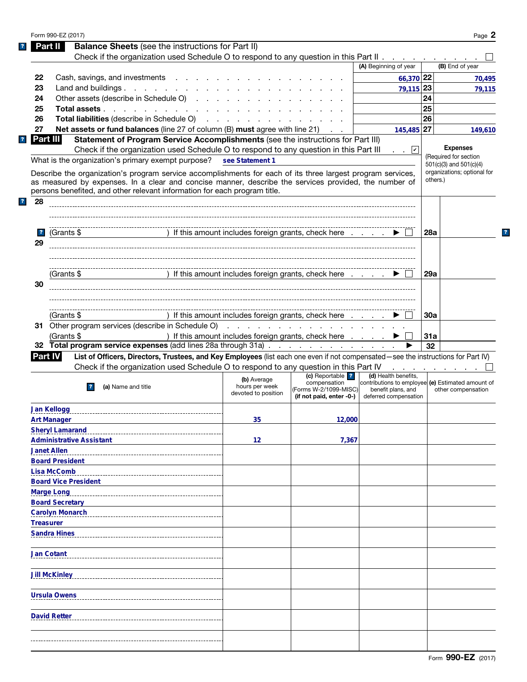|              | Form 990-EZ (2017)                                                                                                                                                                                                   |                                                        |                                  |                                                                           |            | Page 2                                   |
|--------------|----------------------------------------------------------------------------------------------------------------------------------------------------------------------------------------------------------------------|--------------------------------------------------------|----------------------------------|---------------------------------------------------------------------------|------------|------------------------------------------|
|              | <b>Balance Sheets</b> (see the instructions for Part II)<br>Part II                                                                                                                                                  |                                                        |                                  |                                                                           |            |                                          |
|              | Check if the organization used Schedule O to respond to any question in this Part II                                                                                                                                 |                                                        |                                  |                                                                           |            |                                          |
|              |                                                                                                                                                                                                                      |                                                        |                                  | (A) Beginning of year                                                     |            | (B) End of year                          |
| 22           | Cash, savings, and investments                                                                                                                                                                                       |                                                        |                                  | 66,370 22                                                                 |            | 70,495                                   |
| 23           | Land and buildings.                                                                                                                                                                                                  |                                                        |                                  | 79,115 23                                                                 |            | 79,115                                   |
| 24           | Other assets (describe in Schedule O)                                                                                                                                                                                |                                                        |                                  |                                                                           | 24         |                                          |
| 25           | Total assets                                                                                                                                                                                                         |                                                        |                                  |                                                                           | 25         |                                          |
| 26           |                                                                                                                                                                                                                      |                                                        |                                  |                                                                           | 26         |                                          |
| 27           | <b>Net assets or fund balances</b> (line 27 of column (B) must agree with line 21)                                                                                                                                   |                                                        |                                  | 145,485 27                                                                |            | 149,610                                  |
|              | Part III<br>Statement of Program Service Accomplishments (see the instructions for Part III)                                                                                                                         |                                                        |                                  |                                                                           |            |                                          |
|              | Check if the organization used Schedule O to respond to any question in this Part III                                                                                                                                |                                                        |                                  | . . 凶                                                                     |            | <b>Expenses</b>                          |
|              | What is the organization's primary exempt purpose?                                                                                                                                                                   | see Statement 1                                        |                                  |                                                                           |            | (Required for section                    |
|              |                                                                                                                                                                                                                      |                                                        |                                  |                                                                           |            | $501(c)(3)$ and $501(c)(4)$              |
|              | Describe the organization's program service accomplishments for each of its three largest program services,<br>as measured by expenses. In a clear and concise manner, describe the services provided, the number of |                                                        |                                  |                                                                           |            | organizations; optional for<br>others.)  |
|              | persons benefited, and other relevant information for each program title.                                                                                                                                            |                                                        |                                  |                                                                           |            |                                          |
| 28<br>?      |                                                                                                                                                                                                                      |                                                        |                                  |                                                                           |            |                                          |
|              |                                                                                                                                                                                                                      |                                                        |                                  |                                                                           |            |                                          |
|              |                                                                                                                                                                                                                      |                                                        |                                  |                                                                           |            |                                          |
|              |                                                                                                                                                                                                                      |                                                        |                                  |                                                                           |            |                                          |
| $\mathbf{r}$ | (Grants \$                                                                                                                                                                                                           | ) If this amount includes foreign grants, check here   |                                  |                                                                           | 28a        |                                          |
| 29           |                                                                                                                                                                                                                      |                                                        |                                  |                                                                           |            |                                          |
|              |                                                                                                                                                                                                                      |                                                        |                                  |                                                                           |            |                                          |
|              |                                                                                                                                                                                                                      |                                                        |                                  |                                                                           |            |                                          |
|              | (Grants \$                                                                                                                                                                                                           | ) If this amount includes foreign grants, check here ▶ |                                  |                                                                           | 29a        |                                          |
| 30           |                                                                                                                                                                                                                      |                                                        |                                  |                                                                           |            |                                          |
|              |                                                                                                                                                                                                                      |                                                        |                                  |                                                                           |            |                                          |
|              |                                                                                                                                                                                                                      |                                                        |                                  |                                                                           |            |                                          |
|              | (Grants \$                                                                                                                                                                                                           | ) If this amount includes foreign grants, check here   |                                  |                                                                           | <b>30a</b> |                                          |
|              |                                                                                                                                                                                                                      |                                                        |                                  |                                                                           |            |                                          |
|              | (Grants \$                                                                                                                                                                                                           | ) If this amount includes foreign grants, check here   |                                  |                                                                           | 31a        |                                          |
|              | 32 Total program service expenses (add lines 28a through 31a)                                                                                                                                                        |                                                        |                                  |                                                                           | 32         |                                          |
|              | List of Officers, Directors, Trustees, and Key Employees (list each one even if not compensated—see the instructions for Part IV)<br><b>Part IV</b>                                                                  |                                                        |                                  |                                                                           |            |                                          |
|              | Check if the organization used Schedule O to respond to any question in this Part IV                                                                                                                                 |                                                        |                                  |                                                                           |            | and a state of the state of the state of |
|              |                                                                                                                                                                                                                      | (b) Average                                            | (c) Reportable ?<br>compensation | (d) Health benefits,<br>contributions to employee (e) Estimated amount of |            |                                          |
|              | (a) Name and title<br>$\mathbf{r}$                                                                                                                                                                                   | hours per week<br>devoted to position                  | (Forms W-2/1099-MISC)            | benefit plans, and                                                        |            | other compensation                       |
|              |                                                                                                                                                                                                                      |                                                        | (if not paid, enter -0-)         | deferred compensation                                                     |            |                                          |
|              | <b>Jan Kellogg</b>                                                                                                                                                                                                   |                                                        |                                  |                                                                           |            |                                          |
|              | <b>Art Manager</b>                                                                                                                                                                                                   | 35                                                     | 12,000                           |                                                                           |            |                                          |
|              | <b>Sheryl Lamarand</b>                                                                                                                                                                                               |                                                        |                                  |                                                                           |            |                                          |
|              | <b>Administrative Assistant</b>                                                                                                                                                                                      | 12                                                     | 7,367                            |                                                                           |            |                                          |
|              | <b>Janet Allen</b>                                                                                                                                                                                                   |                                                        |                                  |                                                                           |            |                                          |
|              | <b>Board President</b>                                                                                                                                                                                               |                                                        |                                  |                                                                           |            |                                          |
|              | <b>Lisa McComb</b>                                                                                                                                                                                                   |                                                        |                                  |                                                                           |            |                                          |
|              | <b>Board Vice President</b>                                                                                                                                                                                          |                                                        |                                  |                                                                           |            |                                          |
|              | <b>Marge Long</b>                                                                                                                                                                                                    |                                                        |                                  |                                                                           |            |                                          |
|              | <b>Board Secretary</b>                                                                                                                                                                                               |                                                        |                                  |                                                                           |            |                                          |
|              | <b>Carolyn Monarch</b>                                                                                                                                                                                               |                                                        |                                  |                                                                           |            |                                          |
|              | <b>Treasurer</b>                                                                                                                                                                                                     |                                                        |                                  |                                                                           |            |                                          |
|              | <b>Sandra Hines</b>                                                                                                                                                                                                  |                                                        |                                  |                                                                           |            |                                          |
|              |                                                                                                                                                                                                                      |                                                        |                                  |                                                                           |            |                                          |
|              | <b>Jan Cotant</b>                                                                                                                                                                                                    |                                                        |                                  |                                                                           |            |                                          |
|              |                                                                                                                                                                                                                      |                                                        |                                  |                                                                           |            |                                          |
|              | <b>Jill McKinley</b>                                                                                                                                                                                                 |                                                        |                                  |                                                                           |            |                                          |
|              |                                                                                                                                                                                                                      |                                                        |                                  |                                                                           |            |                                          |
|              |                                                                                                                                                                                                                      |                                                        |                                  |                                                                           |            |                                          |
|              | <b>Ursula Owens</b>                                                                                                                                                                                                  |                                                        |                                  |                                                                           |            |                                          |
|              |                                                                                                                                                                                                                      |                                                        |                                  |                                                                           |            |                                          |
|              | <b>David Retter</b>                                                                                                                                                                                                  |                                                        |                                  |                                                                           |            |                                          |
|              |                                                                                                                                                                                                                      |                                                        |                                  |                                                                           |            |                                          |
|              |                                                                                                                                                                                                                      |                                                        |                                  |                                                                           |            |                                          |
|              |                                                                                                                                                                                                                      |                                                        |                                  |                                                                           |            |                                          |

 $\mathbf{?}$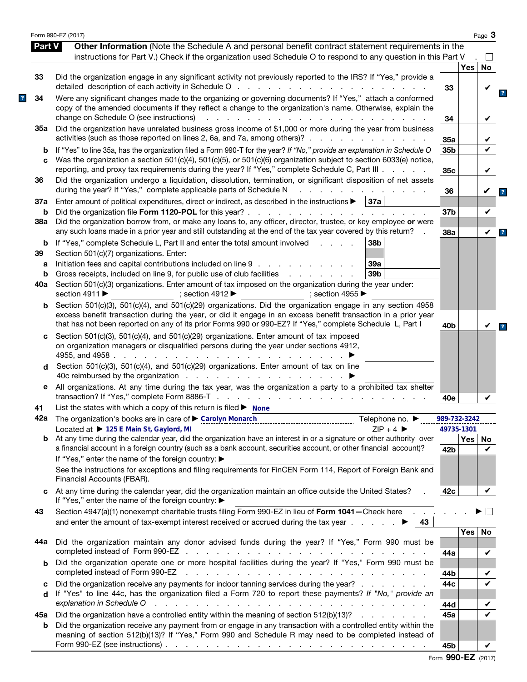|               | Form 990-EZ (2017)                                                                                                                                                                                                                                                                                                                                                                                                                                                                                              |                 |          | Page $3$     |
|---------------|-----------------------------------------------------------------------------------------------------------------------------------------------------------------------------------------------------------------------------------------------------------------------------------------------------------------------------------------------------------------------------------------------------------------------------------------------------------------------------------------------------------------|-----------------|----------|--------------|
| <b>Part V</b> | Other Information (Note the Schedule A and personal benefit contract statement requirements in the                                                                                                                                                                                                                                                                                                                                                                                                              |                 |          |              |
|               | instructions for Part V.) Check if the organization used Schedule O to respond to any question in this Part V                                                                                                                                                                                                                                                                                                                                                                                                   |                 |          | $\mathsf{L}$ |
|               |                                                                                                                                                                                                                                                                                                                                                                                                                                                                                                                 |                 | Yes      | No           |
| 33            | Did the organization engage in any significant activity not previously reported to the IRS? If "Yes," provide a<br>detailed description of each activity in Schedule O                                                                                                                                                                                                                                                                                                                                          | 33              |          |              |
| 34            | Were any significant changes made to the organizing or governing documents? If "Yes," attach a conformed<br>copy of the amended documents if they reflect a change to the organization's name. Otherwise, explain the<br>change on Schedule O (see instructions)<br>$\mathbf{r}$ . The contract of the contract of the contract of the contract of the contract of the contract of the contract of the contract of the contract of the contract of the contract of the contract of the contract of th<br>$\sim$ | 34              |          |              |
| 35а           | Did the organization have unrelated business gross income of \$1,000 or more during the year from business<br>activities (such as those reported on lines 2, 6a, and 7a, among others)?                                                                                                                                                                                                                                                                                                                         |                 |          | V            |
| b             | If "Yes" to line 35a, has the organization filed a Form 990-T for the year? If "No," provide an explanation in Schedule O                                                                                                                                                                                                                                                                                                                                                                                       | 35a<br>35b      |          |              |
| C             | Was the organization a section 501(c)(4), 501(c)(5), or 501(c)(6) organization subject to section 6033(e) notice,<br>reporting, and proxy tax requirements during the year? If "Yes," complete Schedule C, Part III                                                                                                                                                                                                                                                                                             | 35c             |          | V            |
| 36            | Did the organization undergo a liquidation, dissolution, termination, or significant disposition of net assets<br>during the year? If "Yes," complete applicable parts of Schedule N                                                                                                                                                                                                                                                                                                                            | 36              |          |              |
| 37a           | Enter amount of political expenditures, direct or indirect, as described in the instructions $\blacktriangleright$   37a                                                                                                                                                                                                                                                                                                                                                                                        |                 |          |              |
| b             |                                                                                                                                                                                                                                                                                                                                                                                                                                                                                                                 | 37 <sub>b</sub> |          | V            |
| 38a           | Did the organization borrow from, or make any loans to, any officer, director, trustee, or key employee or were<br>any such loans made in a prior year and still outstanding at the end of the tax year covered by this return?                                                                                                                                                                                                                                                                                 | 38a             |          | V            |
| b             | If "Yes," complete Schedule L, Part II and enter the total amount involved<br>38b<br>and a state of                                                                                                                                                                                                                                                                                                                                                                                                             |                 |          |              |
| 39            | Section 501(c)(7) organizations. Enter:                                                                                                                                                                                                                                                                                                                                                                                                                                                                         |                 |          |              |
| а             | Initiation fees and capital contributions included on line 9<br>39a                                                                                                                                                                                                                                                                                                                                                                                                                                             |                 |          |              |
| b             | Gross receipts, included on line 9, for public use of club facilities<br>39 <sub>b</sub><br>and a state of the state of the                                                                                                                                                                                                                                                                                                                                                                                     |                 |          |              |
| 40a           | Section 501(c)(3) organizations. Enter amount of tax imposed on the organization during the year under:<br>section 4911 ▶<br>; section 4912 $\blacktriangleright$<br>: section 4955 $\blacktriangleright$                                                                                                                                                                                                                                                                                                       |                 |          |              |
| b             | Section 501(c)(3), 501(c)(4), and 501(c)(29) organizations. Did the organization engage in any section 4958<br>excess benefit transaction during the year, or did it engage in an excess benefit transaction in a prior year<br>that has not been reported on any of its prior Forms 990 or 990-EZ? If "Yes," complete Schedule L, Part I                                                                                                                                                                       | 40 <sub>b</sub> |          |              |
| d             | on organization managers or disqualified persons during the year under sections 4912,<br>4955, and 4958.<br>and a straightful contract and a<br>Section 501(c)(3), 501(c)(4), and 501(c)(29) organizations. Enter amount of tax on line                                                                                                                                                                                                                                                                         |                 |          |              |
| е             | All organizations. At any time during the tax year, was the organization a party to a prohibited tax shelter                                                                                                                                                                                                                                                                                                                                                                                                    |                 |          |              |
| 41            | List the states with which a copy of this return is filed $\blacktriangleright$ None                                                                                                                                                                                                                                                                                                                                                                                                                            | 40e             |          |              |
|               | 42a The organization's books are in care of Carolyn Monarch                                                                                                                                                                                                                                                                                                                                                                                                                                                     | 989-732-3242    |          |              |
|               | Telephone no. ▶<br>Located at > 125 E Main St, Gaylord, MI<br>$ZIP + 4$                                                                                                                                                                                                                                                                                                                                                                                                                                         | 49735-1301      |          |              |
| b             | Located at $\triangleright$ 125 E Main St, Gaylord, MI entitative contract the contract contract that $\triangleright$ 2IP + 4 $\triangleright$ entitative contract and the calendar year, did the organization have an interest in or a signature or other<br>a financial account in a foreign country (such as a bank account, securities account, or other financial account)?<br>If "Yes," enter the name of the foreign country: ▶                                                                         | 42 <sub>b</sub> | Yes   No | ✓            |
|               | See the instructions for exceptions and filing requirements for FinCEN Form 114, Report of Foreign Bank and<br>Financial Accounts (FBAR).                                                                                                                                                                                                                                                                                                                                                                       |                 |          |              |
| c             | At any time during the calendar year, did the organization maintain an office outside the United States?<br>If "Yes," enter the name of the foreign country: ▶                                                                                                                                                                                                                                                                                                                                                  | 42c             |          | V            |
| 43            | Section 4947(a)(1) nonexempt charitable trusts filing Form 990-EZ in lieu of Form 1041-Check here .<br>and enter the amount of tax-exempt interest received or accrued during the tax year $\ldots$<br>43                                                                                                                                                                                                                                                                                                       |                 |          |              |
|               |                                                                                                                                                                                                                                                                                                                                                                                                                                                                                                                 |                 | Yes      | No           |
| 44а           | Did the organization maintain any donor advised funds during the year? If "Yes," Form 990 must be                                                                                                                                                                                                                                                                                                                                                                                                               | 44a             |          | V            |
| b             | Did the organization operate one or more hospital facilities during the year? If "Yes," Form 990 must be                                                                                                                                                                                                                                                                                                                                                                                                        |                 |          |              |
|               | completed instead of Form 990-EZ<br>المتعاون والمتعاون والمتعاون والمتعاون والمتعاون والمتعاون والمتعاون والمتعاون والمتعاونة                                                                                                                                                                                                                                                                                                                                                                                   | 44b             |          |              |
| c<br>d        | Did the organization receive any payments for indoor tanning services during the year?<br>If "Yes" to line 44c, has the organization filed a Form 720 to report these payments? If "No," provide an                                                                                                                                                                                                                                                                                                             | 44c             |          |              |
|               | explanation in Schedule O<br>والمتعاون والمتعاون والمتعاون والمتعاون والمتعاونة والمتعاون والمتعاون والمتعاون والمتعاونة والمتعاونة                                                                                                                                                                                                                                                                                                                                                                             | 44d             |          |              |
| 45а<br>b      | Did the organization have a controlled entity within the meaning of section 512(b)(13)?<br>Did the organization receive any payment from or engage in any transaction with a controlled entity within the                                                                                                                                                                                                                                                                                                       | 45а             |          | ✔            |
|               | meaning of section 512(b)(13)? If "Yes," Form 990 and Schedule R may need to be completed instead of<br>Form 990-EZ (see instructions) $\ldots$ $\ldots$ $\ldots$ $\ldots$ $\ldots$ $\ldots$ $\ldots$ $\ldots$ $\ldots$ $\ldots$ $\ldots$                                                                                                                                                                                                                                                                       | 45b             |          | V            |

|  | Form 990-EZ (2017) |  |
|--|--------------------|--|
|--|--------------------|--|